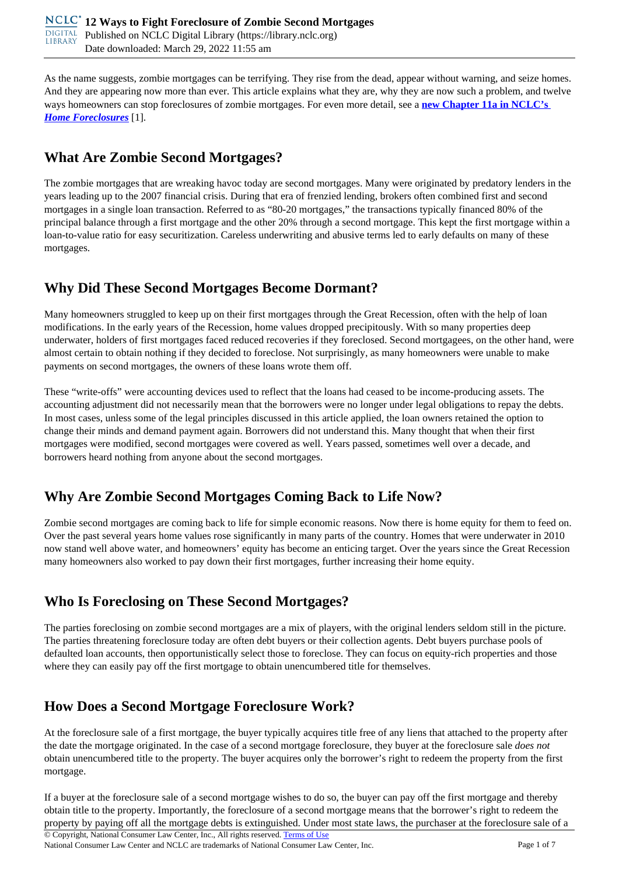As the name suggests, zombie mortgages can be terrifying. They rise from the dead, appear without warning, and seize homes. And they are appearing now more than ever. This article explains what they are, why they are now such a problem, and twelve ways homeowners can stop foreclosures of zombie mortgages. For even more detail, see a **[new Chapter 11a in NCLC's](https://library.nclc.org/nclc/link/HF.11a.01)**  *[Home Foreclosures](https://library.nclc.org/nclc/link/HF.11a.01)* [1].

# **What Are Zombie Second Mortgages?**

The zombie mortgages that are wreaking havoc today are second mortgages. Many were originated by predatory lenders in the years leading up to the 2007 financial crisis. During that era of frenzied lending, brokers often combined first and second mortgages in a single loan transaction. Referred to as "80-20 mortgages," the transactions typically financed 80% of the principal balance through a first mortgage and the other 20% through a second mortgage. This kept the first mortgage within a loan-to-value ratio for easy securitization. Careless underwriting and abusive terms led to early defaults on many of these mortgages.

## **Why Did These Second Mortgages Become Dormant?**

Many homeowners struggled to keep up on their first mortgages through the Great Recession, often with the help of loan modifications. In the early years of the Recession, home values dropped precipitously. With so many properties deep underwater, holders of first mortgages faced reduced recoveries if they foreclosed. Second mortgagees, on the other hand, were almost certain to obtain nothing if they decided to foreclose. Not surprisingly, as many homeowners were unable to make payments on second mortgages, the owners of these loans wrote them off.

These "write-offs" were accounting devices used to reflect that the loans had ceased to be income-producing assets. The accounting adjustment did not necessarily mean that the borrowers were no longer under legal obligations to repay the debts. In most cases, unless some of the legal principles discussed in this article applied, the loan owners retained the option to change their minds and demand payment again. Borrowers did not understand this. Many thought that when their first mortgages were modified, second mortgages were covered as well. Years passed, sometimes well over a decade, and borrowers heard nothing from anyone about the second mortgages.

# **Why Are Zombie Second Mortgages Coming Back to Life Now?**

Zombie second mortgages are coming back to life for simple economic reasons. Now there is home equity for them to feed on. Over the past several years home values rose significantly in many parts of the country. Homes that were underwater in 2010 now stand well above water, and homeowners' equity has become an enticing target. Over the years since the Great Recession many homeowners also worked to pay down their first mortgages, further increasing their home equity.

## **Who Is Foreclosing on These Second Mortgages?**

The parties foreclosing on zombie second mortgages are a mix of players, with the original lenders seldom still in the picture. The parties threatening foreclosure today are often debt buyers or their collection agents. Debt buyers purchase pools of defaulted loan accounts, then opportunistically select those to foreclose. They can focus on equity-rich properties and those where they can easily pay off the first mortgage to obtain unencumbered title for themselves.

## **How Does a Second Mortgage Foreclosure Work?**

At the foreclosure sale of a first mortgage, the buyer typically acquires title free of any liens that attached to the property after the date the mortgage originated. In the case of a second mortgage foreclosure, they buyer at the foreclosure sale *does not* obtain unencumbered title to the property. The buyer acquires only the borrower's right to redeem the property from the first mortgage.

If a buyer at the foreclosure sale of a second mortgage wishes to do so, the buyer can pay off the first mortgage and thereby obtain title to the property. Importantly, the foreclosure of a second mortgage means that the borrower's right to redeem the property by paying off all the mortgage debts is extinguished. Under most state laws, the purchaser at the foreclosure sale of a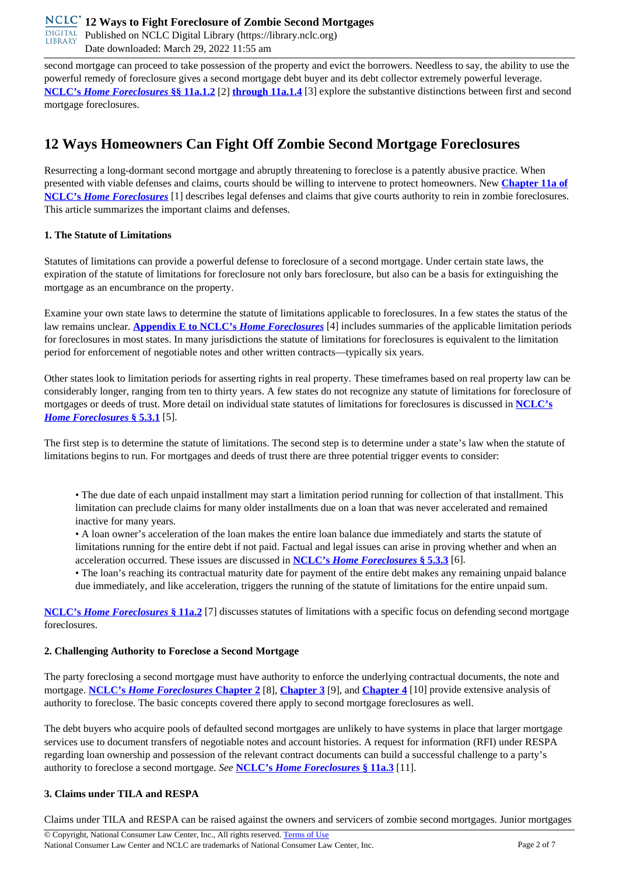**DIGITAL** Published on NCLC Digital Library (https://library.nclc.org) Date downloaded: March 29, 2022 11:55 am

second mortgage can proceed to take possession of the property and evict the borrowers. Needless to say, the ability to use the powerful remedy of foreclosure gives a second mortgage debt buyer and its debt collector extremely powerful leverage. **NCLC's** *Home Foreclosures* **§§ 11a.1.2** [2] **through 11a.1.4** [3] explore the substantive distinctions between first and second mortgage foreclosures.

## **12 Ways Homeowners Can Fight Off Zombie Second Mortgage Foreclosures**

Resurrecting a long-dormant second mortgage and abruptly threatening to foreclose is a patently abusive practice. When presented with viable defenses and claims, courts should be willing to intervene to protect homeowners. New **Chapter 11a of NCLC's** *Home Foreclosures* [1] describes legal defenses and claims that give courts authority to rein in zombie foreclosures. This article summarizes the important claims and defenses.

#### **1. The Statute of Limitations**

Statutes of limitations can provide a powerful defense to foreclosure of a second mortgage. Under certain state laws, the expiration of the statute of limitations for foreclosure not only bars foreclosure, but also can be a basis for extinguishing the mortgage as an encumbrance on the property.

Examine your own state laws to determine the statute of limitations applicable to foreclosures. In a few states the status of the law remains unclear. **Appendix E to NCLC's** *Home Foreclosures* [4] includes summaries of the applicable limitation periods for foreclosures in most states. In many jurisdictions the statute of limitations for foreclosures is equivalent to the limitation period for enforcement of negotiable notes and other written contracts—typically six years.

Other states look to limitation periods for asserting rights in real property. These timeframes based on real property law can be considerably longer, ranging from ten to thirty years. A few states do not recognize any statute of limitations for foreclosure of mortgages or deeds of trust. More detail on individual state statutes of limitations for foreclosures is discussed in **NCLC's** *Home Foreclosures* **§ 5.3.1** [5].

The first step is to determine the statute of limitations. The second step is to determine under a state's law when the statute of limitations begins to run. For mortgages and deeds of trust there are three potential trigger events to consider:

• The due date of each unpaid installment may start a limitation period running for collection of that installment. This limitation can preclude claims for many older installments due on a loan that was never accelerated and remained inactive for many years.

• A loan owner's acceleration of the loan makes the entire loan balance due immediately and starts the statute of limitations running for the entire debt if not paid. Factual and legal issues can arise in proving whether and when an acceleration occurred. These issues are discussed in **NCLC's** *Home Foreclosures* **§ 5.3.3** [6].

• The loan's reaching its contractual maturity date for payment of the entire debt makes any remaining unpaid balance due immediately, and like acceleration, triggers the running of the statute of limitations for the entire unpaid sum.

**NCLC's** *Home Foreclosures* **§ 11a.2** [7] discusses statutes of limitations with a specific focus on defending second mortgage foreclosures.

#### **2. Challenging Authority to Foreclose a Second Mortgage**

The party foreclosing a second mortgage must have authority to enforce the underlying contractual documents, the note and mortgage. **NCLC's** *Home Foreclosures* **Chapter 2** [8], **Chapter 3** [9], and **Chapter 4** [10] provide extensive analysis of authority to foreclose. The basic concepts covered there apply to second mortgage foreclosures as well.

The debt buyers who acquire pools of defaulted second mortgages are unlikely to have systems in place that larger mortgage services use to document transfers of negotiable notes and account histories. A request for information (RFI) under RESPA regarding loan ownership and possession of the relevant contract documents can build a successful challenge to a party's authority to foreclose a second mortgage. *See* **NCLC's** *Home Foreclosures* **§ 11a.3** [11].

### **3. Claims under TILA and RESPA**

Claims under TILA and RESPA can be raised against the owners and servicers of zombie second mortgages. Junior mortgages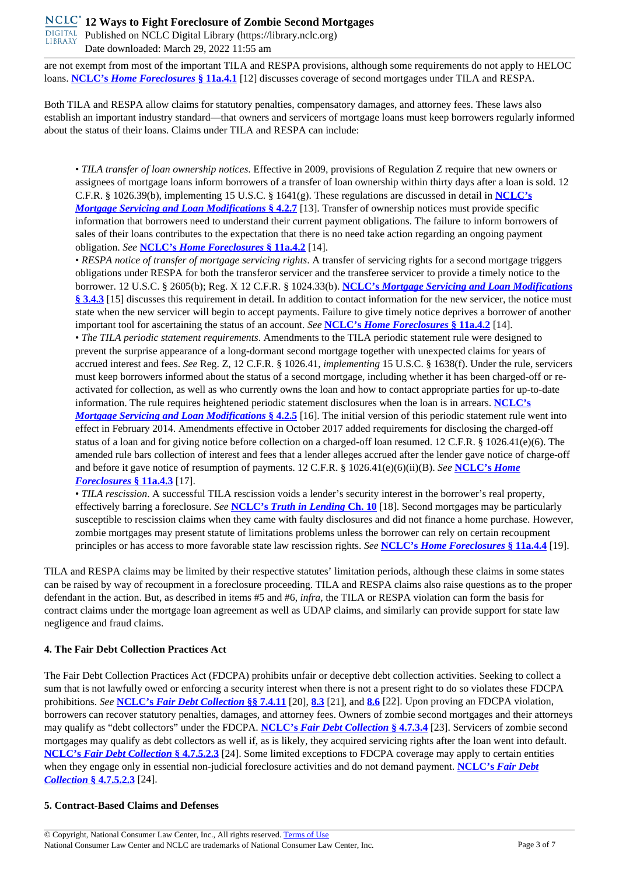**DIGITAL** Published on NCLC Digital Library (https://library.nclc.org) Date downloaded: March 29, 2022 11:55 am

are not exempt from most of the important TILA and RESPA provisions, although some requirements do not apply to HELOC loans. **NCLC's** *Home Foreclosures* **§ 11a.4.1** [12] discusses coverage of second mortgages under TILA and RESPA.

Both TILA and RESPA allow claims for statutory penalties, compensatory damages, and attorney fees. These laws also establish an important industry standard—that owners and servicers of mortgage loans must keep borrowers regularly informed about the status of their loans. Claims under TILA and RESPA can include:

• *TILA transfer of loan ownership notices*. Effective in 2009, provisions of Regulation Z require that new owners or assignees of mortgage loans inform borrowers of a transfer of loan ownership within thirty days after a loan is sold. 12 C.F.R. § 1026.39(b), implementing 15 U.S.C. § 1641(g). These regulations are discussed in detail in **NCLC's** *Mortgage Servicing and Loan Modifications* **§ 4.2.7** [13]. Transfer of ownership notices must provide specific information that borrowers need to understand their current payment obligations. The failure to inform borrowers of sales of their loans contributes to the expectation that there is no need take action regarding an ongoing payment obligation. *See* **NCLC's** *Home Foreclosures* **§ 11a.4.2** [14].

• *RESPA notice of transfer of mortgage servicing rights*. A transfer of servicing rights for a second mortgage triggers obligations under RESPA for both the transferor servicer and the transferee servicer to provide a timely notice to the borrower. 12 U.S.C. § 2605(b); Reg. X 12 C.F.R. § 1024.33(b). **NCLC's** *Mortgage Servicing and Loan Modifications* **§ 3.4.3** [15] discusses this requirement in detail. In addition to contact information for the new servicer, the notice must state when the new servicer will begin to accept payments. Failure to give timely notice deprives a borrower of another important tool for ascertaining the status of an account. *See* **NCLC's** *Home Foreclosures* **§ 11a.4.2** [14]. • *The TILA periodic statement requirements*. Amendments to the TILA periodic statement rule were designed to prevent the surprise appearance of a long-dormant second mortgage together with unexpected claims for years of accrued interest and fees. *See* Reg. Z, 12 C.F.R. § 1026.41, *implementing* 15 U.S.C. § 1638(f). Under the rule, servicers must keep borrowers informed about the status of a second mortgage, including whether it has been charged-off or reactivated for collection, as well as who currently owns the loan and how to contact appropriate parties for up-to-date information. The rule requires heightened periodic statement disclosures when the loan is in arrears. **NCLC's** *Mortgage Servicing and Loan Modifications* **§ 4.2.5** [16]. The initial version of this periodic statement rule went into effect in February 2014. Amendments effective in October 2017 added requirements for disclosing the charged-off status of a loan and for giving notice before collection on a charged-off loan resumed. 12 C.F.R. § 1026.41(e)(6). The amended rule bars collection of interest and fees that a lender alleges accrued after the lender gave notice of charge-off and before it gave notice of resumption of payments. 12 C.F.R. § 1026.41(e)(6)(ii)(B). *See* **NCLC's** *Home Foreclosures* **§ 11a.4.3** [17].

• *TILA rescission*. A successful TILA rescission voids a lender's security interest in the borrower's real property, effectively barring a foreclosure. *See* **NCLC's** *Truth in Lending* **Ch. 10** [18]. Second mortgages may be particularly susceptible to rescission claims when they came with faulty disclosures and did not finance a home purchase. However, zombie mortgages may present statute of limitations problems unless the borrower can rely on certain recoupment principles or has access to more favorable state law rescission rights. *See* **NCLC's** *Home Foreclosures* **§ 11a.4.4** [19].

TILA and RESPA claims may be limited by their respective statutes' limitation periods, although these claims in some states can be raised by way of recoupment in a foreclosure proceeding. TILA and RESPA claims also raise questions as to the proper defendant in the action. But, as described in items #5 and #6, *infra*, the TILA or RESPA violation can form the basis for contract claims under the mortgage loan agreement as well as UDAP claims, and similarly can provide support for state law negligence and fraud claims.

#### **4. The Fair Debt Collection Practices Act**

The Fair Debt Collection Practices Act (FDCPA) prohibits unfair or deceptive debt collection activities. Seeking to collect a sum that is not lawfully owed or enforcing a security interest when there is not a present right to do so violates these FDCPA prohibitions. *See* **NCLC's** *Fair Debt Collection* **§§ 7.4.11** [20], **8.3** [21], and **8.6** [22]. Upon proving an FDCPA violation, borrowers can recover statutory penalties, damages, and attorney fees. Owners of zombie second mortgages and their attorneys may qualify as "debt collectors" under the FDCPA. **NCLC's** *Fair Debt Collection* **§ 4.7.3.4** [23]. Servicers of zombie second mortgages may qualify as debt collectors as well if, as is likely, they acquired servicing rights after the loan went into default. **NCLC's** *Fair Debt Collection* **§ 4.7.5.2.3** [24]. Some limited exceptions to FDCPA coverage may apply to certain entities when they engage only in essential non-judicial foreclosure activities and do not demand payment. **NCLC's** *Fair Debt Collection* **§ 4.7.5.2.3** [24].

#### **5. Contract-Based Claims and Defenses**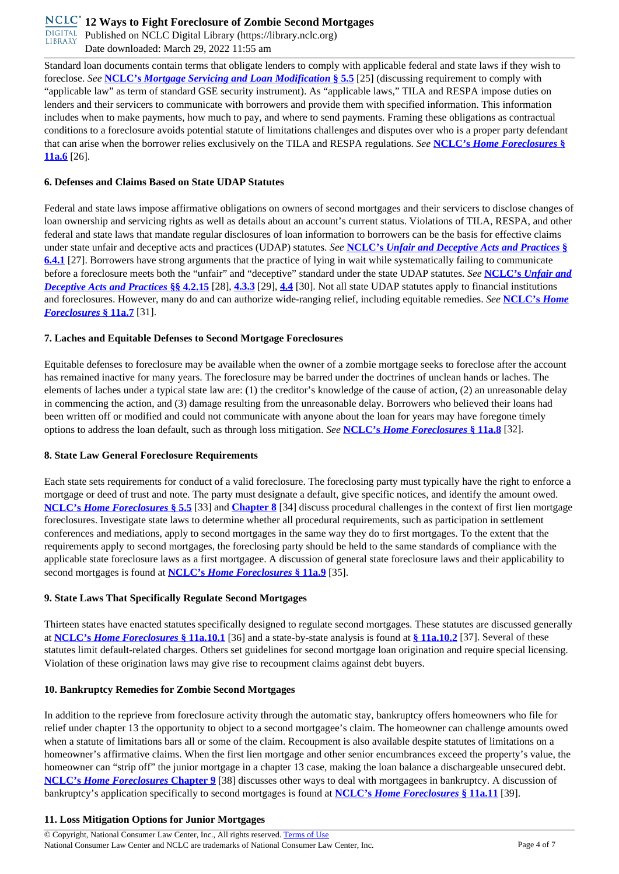**DIGITAL** Published on NCLC Digital Library (https://library.nclc.org) Date downloaded: March 29, 2022 11:55 am

Standard loan documents contain terms that obligate lenders to comply with applicable federal and state laws if they wish to foreclose. *See* **NCLC's** *Mortgage Servicing and Loan Modification* **§ 5.5** [25] (discussing requirement to comply with "applicable law" as term of standard GSE security instrument). As "applicable laws," TILA and RESPA impose duties on lenders and their servicers to communicate with borrowers and provide them with specified information. This information includes when to make payments, how much to pay, and where to send payments. Framing these obligations as contractual conditions to a foreclosure avoids potential statute of limitations challenges and disputes over who is a proper party defendant that can arise when the borrower relies exclusively on the TILA and RESPA regulations. *See* **NCLC's** *Home Foreclosures* **§ 11a.6** [26].

#### **6. Defenses and Claims Based on State UDAP Statutes**

Federal and state laws impose affirmative obligations on owners of second mortgages and their servicers to disclose changes of loan ownership and servicing rights as well as details about an account's current status. Violations of TILA, RESPA, and other federal and state laws that mandate regular disclosures of loan information to borrowers can be the basis for effective claims under state unfair and deceptive acts and practices (UDAP) statutes. *See* **NCLC's** *Unfair and Deceptive Acts and Practices* **§ 6.4.1** [27]. Borrowers have strong arguments that the practice of lying in wait while systematically failing to communicate before a foreclosure meets both the "unfair" and "deceptive" standard under the state UDAP statutes. *See* **NCLC's** *Unfair and Deceptive Acts and Practices* **§§ 4.2.15** [28], **4.3.3** [29], **4.4** [30]. Not all state UDAP statutes apply to financial institutions and foreclosures. However, many do and can authorize wide-ranging relief, including equitable remedies. *See* **NCLC's** *Home Foreclosures* **§ 11a.7** [31].

#### **7. Laches and Equitable Defenses to Second Mortgage Foreclosures**

Equitable defenses to foreclosure may be available when the owner of a zombie mortgage seeks to foreclose after the account has remained inactive for many years. The foreclosure may be barred under the doctrines of unclean hands or laches. The elements of laches under a typical state law are: (1) the creditor's knowledge of the cause of action, (2) an unreasonable delay in commencing the action, and (3) damage resulting from the unreasonable delay. Borrowers who believed their loans had been written off or modified and could not communicate with anyone about the loan for years may have foregone timely options to address the loan default, such as through loss mitigation. *See* **NCLC's** *Home Foreclosures* **§ 11a.8** [32].

#### **8. State Law General Foreclosure Requirements**

Each state sets requirements for conduct of a valid foreclosure. The foreclosing party must typically have the right to enforce a mortgage or deed of trust and note. The party must designate a default, give specific notices, and identify the amount owed. **NCLC's** *Home Foreclosures* **§ 5.5** [33] and **Chapter 8** [34] discuss procedural challenges in the context of first lien mortgage foreclosures. Investigate state laws to determine whether all procedural requirements, such as participation in settlement conferences and mediations, apply to second mortgages in the same way they do to first mortgages. To the extent that the requirements apply to second mortgages, the foreclosing party should be held to the same standards of compliance with the applicable state foreclosure laws as a first mortgagee. A discussion of general state foreclosure laws and their applicability to second mortgages is found at **NCLC's** *Home Foreclosures* **§ 11a.9** [35].

### **9. State Laws That Specifically Regulate Second Mortgages**

Thirteen states have enacted statutes specifically designed to regulate second mortgages. These statutes are discussed generally at **NCLC's** *Home Foreclosures* **§ 11a.10.1** [36] and a state-by-state analysis is found at **§ 11a.10.2** [37]. Several of these statutes limit default-related charges. Others set guidelines for second mortgage loan origination and require special licensing. Violation of these origination laws may give rise to recoupment claims against debt buyers.

### **10. Bankruptcy Remedies for Zombie Second Mortgages**

In addition to the reprieve from foreclosure activity through the automatic stay, bankruptcy offers homeowners who file for relief under chapter 13 the opportunity to object to a second mortgagee's claim. The homeowner can challenge amounts owed when a statute of limitations bars all or some of the claim. Recoupment is also available despite statutes of limitations on a homeowner's affirmative claims. When the first lien mortgage and other senior encumbrances exceed the property's value, the homeowner can "strip off" the junior mortgage in a chapter 13 case, making the loan balance a dischargeable unsecured debt. **NCLC's** *Home Foreclosures* **Chapter 9** [38] discusses other ways to deal with mortgagees in bankruptcy. A discussion of bankruptcy's application specifically to second mortgages is found at **NCLC's** *Home Foreclosures* **§ 11a.11** [39].

#### **11. Loss Mitigation Options for Junior Mortgages**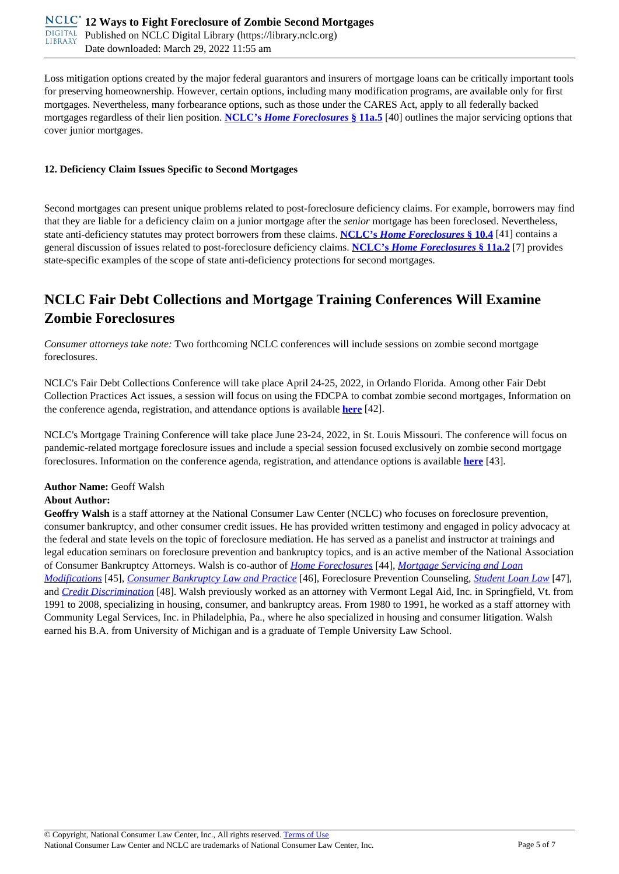Loss mitigation options created by the major federal guarantors and insurers of mortgage loans can be critically important tools for preserving homeownership. However, certain options, including many modification programs, are available only for first mortgages. Nevertheless, many forbearance options, such as those under the CARES Act, apply to all federally backed mortgages regardless of their lien position. **NCLC's** *Home Foreclosures* **§ 11a.5** [40] outlines the major servicing options that cover junior mortgages.

#### **12. Deficiency Claim Issues Specific to Second Mortgages**

Second mortgages can present unique problems related to post-foreclosure deficiency claims. For example, borrowers may find that they are liable for a deficiency claim on a junior mortgage after the *senior* mortgage has been foreclosed. Nevertheless, state anti-deficiency statutes may protect borrowers from these claims. **NCLC's** *Home Foreclosures* **§ 10.4** [41] contains a general discussion of issues related to post-foreclosure deficiency claims. **NCLC's** *Home Foreclosures* **§ 11a.2** [7] provides state-specific examples of the scope of state anti-deficiency protections for second mortgages.

## **NCLC Fair Debt Collections and Mortgage Training Conferences Will Examine Zombie Foreclosures**

*Consumer attorneys take note:* Two forthcoming NCLC conferences will include sessions on zombie second mortgage foreclosures.

NCLC's Fair Debt Collections Conference will take place April 24-25, 2022, in Orlando Florida. Among other Fair Debt Collection Practices Act issues, a session will focus on using the FDCPA to combat zombie second mortgages, Information on the conference agenda, registration, and attendance options is available **here** [42].

NCLC's Mortgage Training Conference will take place June 23-24, 2022, in St. Louis Missouri. The conference will focus on pandemic-related mortgage foreclosure issues and include a special session focused exclusively on zombie second mortgage foreclosures. Information on the conference agenda, registration, and attendance options is available **here** [43].

# **Author Name:** Geoff Walsh

### **About Author:**

**Geoffry Walsh** is a staff attorney at the National Consumer Law Center (NCLC) who focuses on foreclosure prevention, consumer bankruptcy, and other consumer credit issues. He has provided written testimony and engaged in policy advocacy at the federal and state levels on the topic of foreclosure mediation. He has served as a panelist and instructor at trainings and legal education seminars on foreclosure prevention and bankruptcy topics, and is an active member of the National Association of Consumer Bankruptcy Attorneys. Walsh is co-author of *Home Foreclosures* [44], *Mortgage Servicing and Loan Modifications* [45], *Consumer Bankruptcy Law and Practice* [46], Foreclosure Prevention Counseling, *Student Loan Law* [47], and *Credit Discrimination* [48]. Walsh previously worked as an attorney with Vermont Legal Aid, Inc. in Springfield, Vt. from 1991 to 2008, specializing in housing, consumer, and bankruptcy areas. From 1980 to 1991, he worked as a staff attorney with Community Legal Services, Inc. in Philadelphia, Pa., where he also specialized in housing and consumer litigation. Walsh earned his B.A. from University of Michigan and is a graduate of Temple University Law School.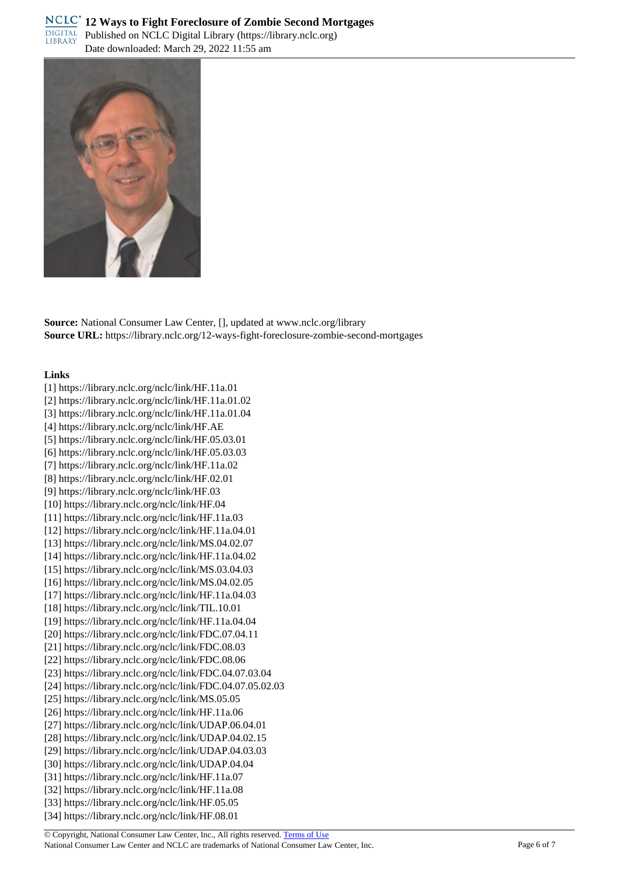

**Source:** National Consumer Law Center, [], updated at www.nclc.org/library **Source URL:** https://library.nclc.org/12-ways-fight-foreclosure-zombie-second-mortgages

#### **Links**

[1] https://library.nclc.org/nclc/link/HF.11a.01 [2] https://library.nclc.org/nclc/link/HF.11a.01.02 [3] https://library.nclc.org/nclc/link/HF.11a.01.04 [4] https://library.nclc.org/nclc/link/HF.AE [5] https://library.nclc.org/nclc/link/HF.05.03.01 [6] https://library.nclc.org/nclc/link/HF.05.03.03 [7] https://library.nclc.org/nclc/link/HF.11a.02 [8] https://library.nclc.org/nclc/link/HF.02.01 [9] https://library.nclc.org/nclc/link/HF.03 [10] https://library.nclc.org/nclc/link/HF.04 [11] https://library.nclc.org/nclc/link/HF.11a.03 [12] https://library.nclc.org/nclc/link/HF.11a.04.01 [13] https://library.nclc.org/nclc/link/MS.04.02.07 [14] https://library.nclc.org/nclc/link/HF.11a.04.02 [15] https://library.nclc.org/nclc/link/MS.03.04.03 [16] https://library.nclc.org/nclc/link/MS.04.02.05 [17] https://library.nclc.org/nclc/link/HF.11a.04.03 [18] https://library.nclc.org/nclc/link/TIL.10.01 [19] https://library.nclc.org/nclc/link/HF.11a.04.04 [20] https://library.nclc.org/nclc/link/FDC.07.04.11 [21] https://library.nclc.org/nclc/link/FDC.08.03 [22] https://library.nclc.org/nclc/link/FDC.08.06 [23] https://library.nclc.org/nclc/link/FDC.04.07.03.04 [24] https://library.nclc.org/nclc/link/FDC.04.07.05.02.03 [25] https://library.nclc.org/nclc/link/MS.05.05 [26] https://library.nclc.org/nclc/link/HF.11a.06 [27] https://library.nclc.org/nclc/link/UDAP.06.04.01 [28] https://library.nclc.org/nclc/link/UDAP.04.02.15 [29] https://library.nclc.org/nclc/link/UDAP.04.03.03 [30] https://library.nclc.org/nclc/link/UDAP.04.04 [31] https://library.nclc.org/nclc/link/HF.11a.07 [32] https://library.nclc.org/nclc/link/HF.11a.08 [33] https://library.nclc.org/nclc/link/HF.05.05 [34] https://library.nclc.org/nclc/link/HF.08.01